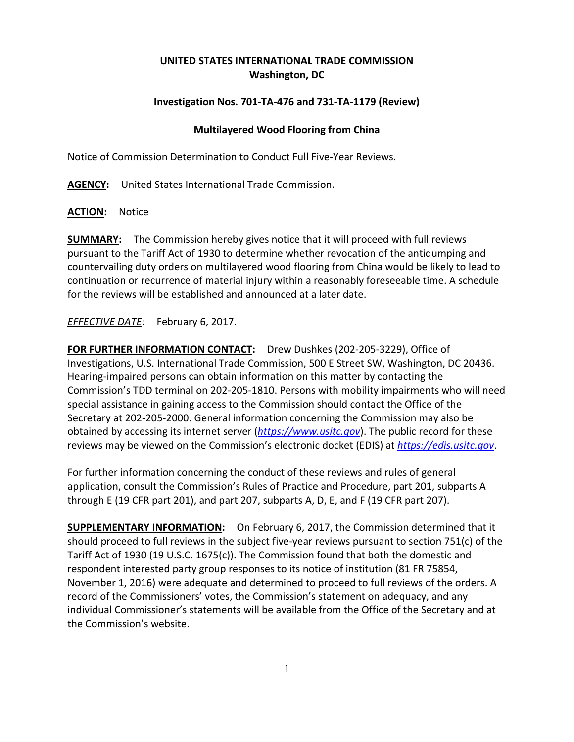## **UNITED STATES INTERNATIONAL TRADE COMMISSION Washington, DC**

## **Investigation Nos. 701-TA-476 and 731-TA-1179 (Review)**

## **Multilayered Wood Flooring from China**

Notice of Commission Determination to Conduct Full Five-Year Reviews.

**AGENCY:** United States International Trade Commission.

**ACTION:** Notice

**SUMMARY:** The Commission hereby gives notice that it will proceed with full reviews pursuant to the Tariff Act of 1930 to determine whether revocation of the antidumping and countervailing duty orders on multilayered wood flooring from China would be likely to lead to continuation or recurrence of material injury within a reasonably foreseeable time. A schedule for the reviews will be established and announced at a later date.

## *EFFECTIVE DATE:* February 6, 2017.

**FOR FURTHER INFORMATION CONTACT:** Drew Dushkes (202-205-3229), Office of Investigations, U.S. International Trade Commission, 500 E Street SW, Washington, DC 20436. Hearing-impaired persons can obtain information on this matter by contacting the Commission's TDD terminal on 202-205-1810. Persons with mobility impairments who will need special assistance in gaining access to the Commission should contact the Office of the Secretary at 202-205-2000. General information concerning the Commission may also be obtained by accessing its internet server (*[https://www.usitc.gov](https://www.usitc.gov/)*). The public record for these reviews may be viewed on the Commission's electronic docket (EDIS) at *[https://edis.usitc.gov](https://edis.usitc.gov/)*.

For further information concerning the conduct of these reviews and rules of general application, consult the Commission's Rules of Practice and Procedure, part 201, subparts A through E (19 CFR part 201), and part 207, subparts A, D, E, and F (19 CFR part 207).

**SUPPLEMENTARY INFORMATION:** On February 6, 2017, the Commission determined that it should proceed to full reviews in the subject five-year reviews pursuant to section 751(c) of the Tariff Act of 1930 (19 U.S.C. 1675(c)). The Commission found that both the domestic and respondent interested party group responses to its notice of institution (81 FR 75854, November 1, 2016) were adequate and determined to proceed to full reviews of the orders. A record of the Commissioners' votes, the Commission's statement on adequacy, and any individual Commissioner's statements will be available from the Office of the Secretary and at the Commission's website.